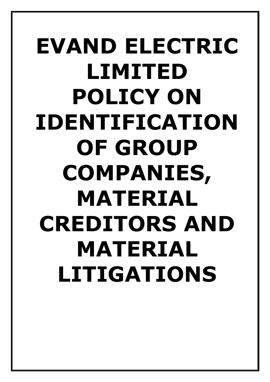# **EVAND ELECTRIC LIMITED POLICY ON IDENTIFICATION OF GROUP COMPANIES, MATERIAL CREDITORS AND MATERIAL LITIGATIONS**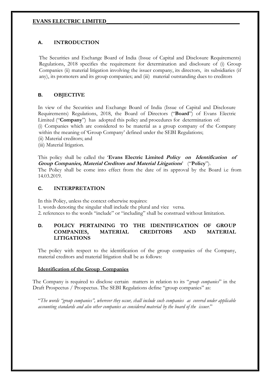# **EVANS ELECTRIC LIMITED\_\_\_\_\_\_\_\_\_\_\_\_\_\_\_\_\_\_\_\_\_\_\_\_\_\_\_\_\_\_\_\_\_\_\_\_\_\_\_\_\_\_\_\_\_\_\_\_\_**

# **A. INTRODUCTION**

The Securities and Exchange Board of India (Issue of Capital and Disclosure Requirements) Regulations, 2018 specifies the requirement for determination and disclosure of (i) Group Companies (ii) material litigation involving the issuer company, its directors, its subsidiaries (if any), its promoters and its group companies; and (iii) material outstanding dues to creditors

# **B. OBJECTIVE**

In view of the Securities and Exchange Board of India (Issue of Capital and Disclosure Requirements) Regulations, 2018, the Board of Directors ("**Board**") of Evans Electric Limited ("**Company**") has adopted this policy and procedures for determination of: (i) Companies which are considered to be material as a group company of the Company within the meaning of 'Group Company' defined under the SEBI Regulations;

- (ii) Material creditors; and
- (iii) Material litigation.

This policy shall be called the '**Evans Electric Limited Policy on Identification of Group Companies, Material Creditors and Material Litigations**' ("**Policy**").

The Policy shall be come into effect from the date of its approval by the Board i.e from 14.03.2019.

#### **C. INTERPRETATION**

In this Policy, unless the context otherwise requires:

- 1. words denoting the singular shall include the plural and vice versa.
- 2. references to the words "include" or "including" shall be construed without limitation.

# **D. POLICY PERTAINING TO THE IDENTIFICATION OF GROUP COMPANIES, MATERIAL CREDITORS AND MATERIAL LITIGATIONS**

The policy with respect to the identification of the group companies of the Company, material creditors and material litigation shall be as follows:

#### **Identification of the Group Companies**

The Company is required to disclose certain matters in relation to its "*group companies*" in the Draft Prospectus / Prospectus. The SEBI Regulations define "group companies" as:

"*The words "group companies", wherever they occur, shall include such companies as covered under applicable accounting standards and also other companies as considered material by the board of the issuer.*"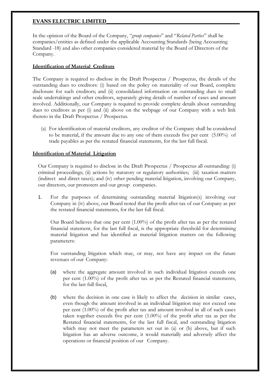# **EVANS ELECTRIC LIMITED\_\_\_\_\_\_\_\_\_\_\_\_\_\_\_\_\_\_\_\_\_\_\_\_\_\_\_\_\_\_\_\_\_\_\_\_\_\_\_\_\_\_\_\_\_\_\_\_\_**

In the opinion of the Board of the Company, "*group companies*" and "*Related Parties*" shall be companies/entities as defined under the applicable Accounting Standards (being Accounting Standard -18) and also other companies considered material by the Board of Directors of the Company.

# **Identification of Material Creditors**

The Company is required to disclose in the Draft Prospectus / Prospectus, the details of the outstanding dues to creditors: (i) based on the policy on materiality of our Board, complete disclosure for such creditors; and (ii) consolidated information on outstanding dues to small scale undertakings and other creditors, separately giving details of number of cases and amount involved. Additionally, our Company is required to provide complete details about outstanding dues to creditors as per (i) and (ii) above on the webpage of our Company with a web link thereto in the Draft Prospectus / Prospectus.

(a) For identification of material creditors, any creditor of the Company shall be considered to be material, if the amount due to any one of them exceeds five per cent (5.00%) of trade payables as per the restated financial statements, for the last full fiscal.

# **Identification of Material Litigation**

Our Company is required to disclose in the Draft Prospectus / Prospectus all outstanding: (i) criminal proceedings; (ii) actions by statutory or regulatory authorities; (iii) taxation matters (indirect and direct taxes); and (iv) other pending material litigation, involving our Company, our directors, our promoters and our group companies.

1. For the purposes of determining outstanding material litigation(s) involving our Company in (iv) above, our Board noted that the profit after tax of our Company as per the restated financial statements, for the last full fiscal.

Our Board believes that one per cent (1.00%) of the profit after tax as per the restated financial statement, for the last full fiscal, is the appropriate threshold for determining material litigation and has identified as material litigation matters on the following parameters:

For outstanding litigation which may, or may, not have any impact on the future revenues of our Company:

- (a) where the aggregate amount involved in such individual litigation exceeds one per cent (1.00%) of the profit after tax as per the Restated financial statements, for the last full fiscal,
- (b) where the decision in one case is likely to affect the decision in similar cases, even though the amount involved in an individual litigation may not exceed one per cent (1.00%) of the profit after tax and amount involved in all of such cases taken together exceeds five per cent (1.00%) of the profit after tax as per the Restated financial statements, for the last full fiscal, and outstanding litigation which may not meet the parameters set out in (a) or (b) above, but if such litigation has an adverse outcome, it would materially and adversely affect the operations or financial position of our Company.